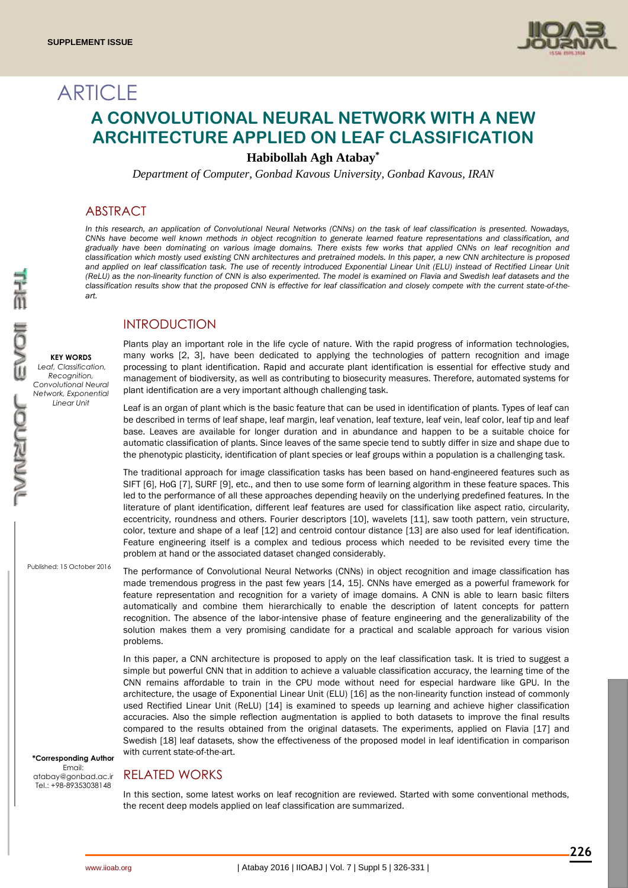

# **ARTICLE A CONVOLUTIONAL NEURAL NETWORK WITH A NEW ARCHITECTURE APPLIED ON LEAF CLASSIFICATION**

# **Habibollah Agh Atabay\***

*Department of Computer, Gonbad Kavous University, Gonbad Kavous, IRAN*

## ABSTRACT

*In this research, an application of Convolutional Neural Networks (CNNs) on the task of leaf classification is presented. Nowadays, CNNs have become well known methods in object recognition to generate learned feature representations and classification, and gradually have been dominating on various image domains. There exists few works that applied CNNs on leaf recognition and classification which mostly used existing CNN architectures and pretrained models. In this paper, a new CNN architecture is proposed*  and applied on leaf classification task. The use of recently introduced Exponential Linear Unit (ELU) instead of Rectified Linear Unit *(ReLU) as the non-linearity function of CNN is also experimented. The model is examined on Flavia and Swedish leaf datasets and the classification results show that the proposed CNN is effective for leaf classification and closely compete with the current state-of-theart.*

## INTRODUCTION

Plants play an important role in the life cycle of nature. With the rapid progress of information technologies, many works [2, 3], have been dedicated to applying the technologies of pattern recognition and image processing to plant identification. Rapid and accurate plant identification is essential for effective study and management of biodiversity, as well as contributing to biosecurity measures. Therefore, automated systems for plant identification are a very important although challenging task.

Leaf is an organ of plant which is the basic feature that can be used in identification of plants. Types of leaf can be described in terms of leaf shape, leaf margin, leaf venation, leaf texture, leaf vein, leaf color, leaf tip and leaf base. Leaves are available for longer duration and in abundance and happen to be a suitable choice for automatic classification of plants. Since leaves of the same specie tend to subtly differ in size and shape due to the phenotypic plasticity, identification of plant species or leaf groups within a population is a challenging task.

The traditional approach for image classification tasks has been based on hand-engineered features such as SIFT [6], HoG [7], SURF [9], etc., and then to use some form of learning algorithm in these feature spaces. This led to the performance of all these approaches depending heavily on the underlying predefined features. In the literature of plant identification, different leaf features are used for classification like aspect ratio, circularity, eccentricity, roundness and others. Fourier descriptors [10], wavelets [11], saw tooth pattern, vein structure, color, texture and shape of a leaf [12] and centroid contour distance [13] are also used for leaf identification. Feature engineering itself is a complex and tedious process which needed to be revisited every time the problem at hand or the associated dataset changed considerably.

Published: 15 October 2016

**KEY WORDS** *Leaf, Classification, Recognition, Convolutional Neural Network, Exponential Linear Unit*

> The performance of Convolutional Neural Networks (CNNs) in object recognition and image classification has made tremendous progress in the past few years [14, 15]. CNNs have emerged as a powerful framework for feature representation and recognition for a variety of image domains. A CNN is able to learn basic filters automatically and combine them hierarchically to enable the description of latent concepts for pattern recognition. The absence of the labor-intensive phase of feature engineering and the generalizability of the solution makes them a very promising candidate for a practical and scalable approach for various vision problems.

In this paper, a CNN architecture is proposed to apply on the leaf classification task. It is tried to suggest a simple but powerful CNN that in addition to achieve a valuable classification accuracy, the learning time of the CNN remains affordable to train in the CPU mode without need for especial hardware like GPU. In the architecture, the usage of Exponential Linear Unit (ELU) [16] as the non-linearity function instead of commonly used Rectified Linear Unit (ReLU) [14] is examined to speeds up learning and achieve higher classification accuracies. Also the simple reflection augmentation is applied to both datasets to improve the final results compared to the results obtained from the original datasets. The experiments, applied on Flavia [17] and Swedish [18] leaf datasets, show the effectiveness of the proposed model in leaf identification in comparison with current state-of-the-art.

**\*Corresponding Author** Email: atabay@gonbad.ac.ir Tel.: +98-89353038148

# RELATED WORKS

In this section, some latest works on leaf recognition are reviewed. Started with some conventional methods, the recent deep models applied on leaf classification are summarized.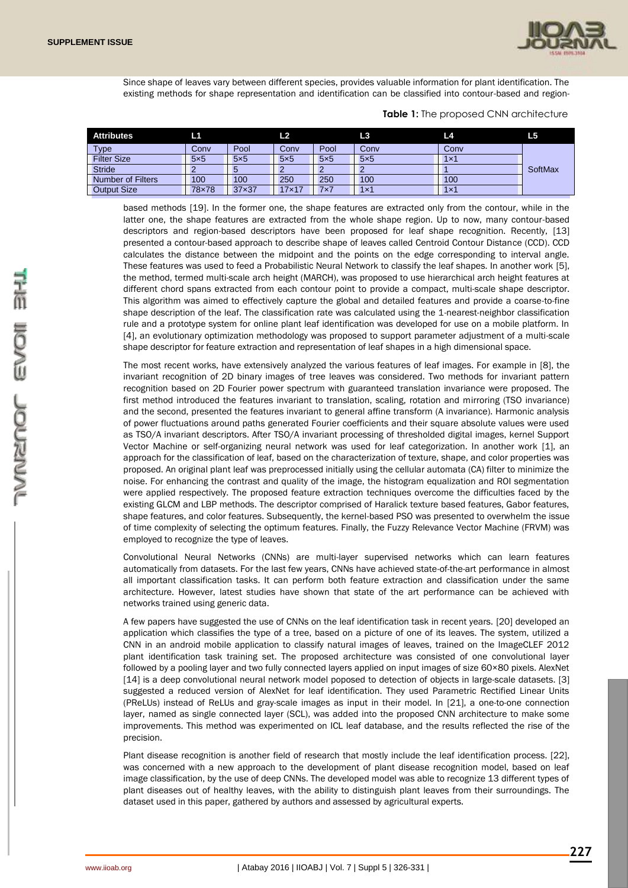

Since shape of leaves vary between different species, provides valuable information for plant identification. The existing methods for shape representation and identification can be classified into contour-based and region-

| <b>Attributes</b>        | L1         |            | L <sub>2</sub> |            | L3               | L4         | L <sub>5</sub> |
|--------------------------|------------|------------|----------------|------------|------------------|------------|----------------|
| Type                     | Conv       | Pool       | Conv           | Pool       | Conv             | Conv       |                |
| <b>Filter Size</b>       | $5\times5$ | $5\times5$ | $5\times5$     | $5\times5$ | $5\times5$       | $1\times1$ |                |
| <b>Stride</b>            |            | 5          |                |            |                  |            | SoftMax        |
| <b>Number of Filters</b> | 100        | 100        | 250            | 250        | 100 <sup>°</sup> | 100        |                |
| <b>Output Size</b>       | 78×78      | 37x37      | $17\times17$   | 7x7        | $1\times1$       | $1\times1$ |                |

#### **Table 1:** The proposed CNN architecture

based methods [19]. In the former one, the shape features are extracted only from the contour, while in the latter one, the shape features are extracted from the whole shape region. Up to now, many contour-based descriptors and region-based descriptors have been proposed for leaf shape recognition. Recently, [13] presented a contour-based approach to describe shape of leaves called Centroid Contour Distance (CCD). CCD calculates the distance between the midpoint and the points on the edge corresponding to interval angle. These features was used to feed a Probabilistic Neural Network to classify the leaf shapes. In another work [5], the method, termed multi-scale arch height (MARCH), was proposed to use hierarchical arch height features at different chord spans extracted from each contour point to provide a compact, multi-scale shape descriptor. This algorithm was aimed to effectively capture the global and detailed features and provide a coarse-to-fine shape description of the leaf. The classification rate was calculated using the 1-nearest-neighbor classification rule and a prototype system for online plant leaf identification was developed for use on a mobile platform. In [4], an evolutionary optimization methodology was proposed to support parameter adjustment of a multi-scale shape descriptor for feature extraction and representation of leaf shapes in a high dimensional space.

The most recent works, have extensively analyzed the various features of leaf images. For example in [8], the invariant recognition of 2D binary images of tree leaves was considered. Two methods for invariant pattern recognition based on 2D Fourier power spectrum with guaranteed translation invariance were proposed. The first method introduced the features invariant to translation, scaling, rotation and mirroring (TSO invariance) and the second, presented the features invariant to general affine transform (A invariance). Harmonic analysis of power fluctuations around paths generated Fourier coefficients and their square absolute values were used as TSO/A invariant descriptors. After TSO/A invariant processing of thresholded digital images, kernel Support Vector Machine or self-organizing neural network was used for leaf categorization. In another work [1], an approach for the classification of leaf, based on the characterization of texture, shape, and color properties was proposed. An original plant leaf was preprocessed initially using the cellular automata (CA) filter to minimize the noise. For enhancing the contrast and quality of the image, the histogram equalization and ROI segmentation were applied respectively. The proposed feature extraction techniques overcome the difficulties faced by the existing GLCM and LBP methods. The descriptor comprised of Haralick texture based features, Gabor features, shape features, and color features. Subsequently, the kernel-based PSO was presented to overwhelm the issue of time complexity of selecting the optimum features. Finally, the Fuzzy Relevance Vector Machine (FRVM) was employed to recognize the type of leaves.

Convolutional Neural Networks (CNNs) are multi-layer supervised networks which can learn features automatically from datasets. For the last few years, CNNs have achieved state-of-the-art performance in almost all important classification tasks. It can perform both feature extraction and classification under the same architecture. However, latest studies have shown that state of the art performance can be achieved with networks trained using generic data.

A few papers have suggested the use of CNNs on the leaf identification task in recent years. [20] developed an application which classifies the type of a tree, based on a picture of one of its leaves. The system, utilized a CNN in an android mobile application to classify natural images of leaves, trained on the ImageCLEF 2012 plant identification task training set. The proposed architecture was consisted of one convolutional layer followed by a pooling layer and two fully connected layers applied on input images of size 60×80 pixels. AlexNet [14] is a deep convolutional neural network model poposed to detection of objects in large-scale datasets. [3] suggested a reduced version of AlexNet for leaf identification. They used Parametric Rectified Linear Units (PReLUs) instead of ReLUs and gray-scale images as input in their model. In [21], a one-to-one connection layer, named as single connected layer (SCL), was added into the proposed CNN architecture to make some improvements. This method was experimented on ICL leaf database, and the results reflected the rise of the precision.

Plant disease recognition is another field of research that mostly include the leaf identification process. [22], was concerned with a new approach to the development of plant disease recognition model, based on leaf image classification, by the use of deep CNNs. The developed model was able to recognize 13 different types of plant diseases out of healthy leaves, with the ability to distinguish plant leaves from their surroundings. The dataset used in this paper, gathered by authors and assessed by agricultural experts.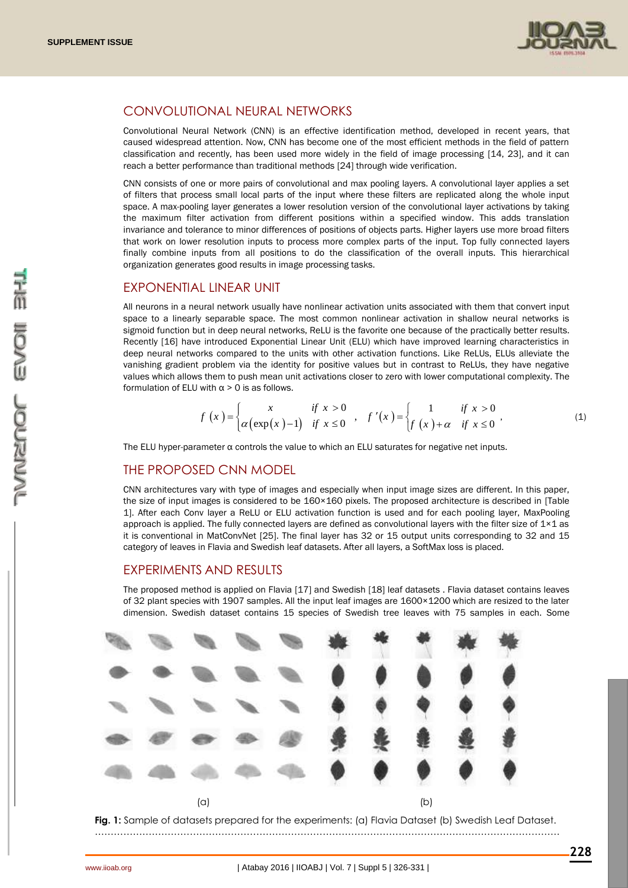

## CONVOLUTIONAL NEURAL NETWORKS

Convolutional Neural Network (CNN) is an effective identification method, developed in recent years, that caused widespread attention. Now, CNN has become one of the most efficient methods in the field of pattern classification and recently, has been used more widely in the field of image processing [14, 23], and it can reach a better performance than traditional methods [24] through wide verification.

CNN consists of one or more pairs of convolutional and max pooling layers. A convolutional layer applies a set of filters that process small local parts of the input where these filters are replicated along the whole input space. A max-pooling layer generates a lower resolution version of the convolutional layer activations by taking the maximum filter activation from different positions within a specified window. This adds translation invariance and tolerance to minor differences of positions of objects parts. Higher layers use more broad filters that work on lower resolution inputs to process more complex parts of the input. Top fully connected layers finally combine inputs from all positions to do the classification of the overall inputs. This hierarchical organization generates good results in image processing tasks.

#### EXPONENTIAL LINEAR UNIT

All neurons in a neural network usually have nonlinear activation units associated with them that convert input space to a linearly separable space. The most common nonlinear activation in shallow neural networks is sigmoid function but in deep neural networks, ReLU is the favorite one because of the practically better results. Recently [16] have introduced Exponential Linear Unit (ELU) which have improved learning characteristics in deep neural networks compared to the units with other activation functions. Like ReLUs, ELUs alleviate the vanishing gradient problem via the identity for positive values but in contrast to ReLUs, they have negative values which allows them to push mean unit activations closer to zero with lower computational complexity. The formulation of ELU with  $\alpha > 0$  is as follows.

$$
f(x) = \begin{cases} x & \text{if } x > 0 \\ \alpha(\exp(x)-1) & \text{if } x \le 0 \end{cases}, \quad f'(x) = \begin{cases} 1 & \text{if } x > 0 \\ f(x) + \alpha & \text{if } x \le 0 \end{cases}, \tag{1}
$$

The ELU hyper-parameter  $\alpha$  controls the value to which an ELU saturates for negative net inputs.

#### THE PROPOSED CNN MODEL

CNN architectures vary with type of images and especially when input image sizes are different. In this paper, the size of input images is considered to be 160×160 pixels. The proposed architecture is described in [Table 1]. After each Conv layer a ReLU or ELU activation function is used and for each pooling layer, MaxPooling approach is applied. The fully connected layers are defined as convolutional layers with the filter size of  $1\times1$  as it is conventional in MatConvNet [25]. The final layer has 32 or 15 output units corresponding to 32 and 15 category of leaves in Flavia and Swedish leaf datasets. After all layers, a SoftMax loss is placed.

#### EXPERIMENTS AND RESULTS

The proposed method is applied on Flavia [17] and Swedish [18] leaf datasets . Flavia dataset contains leaves of 32 plant species with 1907 samples. All the input leaf images are 1600×1200 which are resized to the later dimension. Swedish dataset contains 15 species of Swedish tree leaves with 75 samples in each. Some



**Fig. 1:** Sample of datasets prepared for the experiments: (a) Flavia Dataset (b) Swedish Leaf Dataset. …………………………………………………………………………………………………………………………………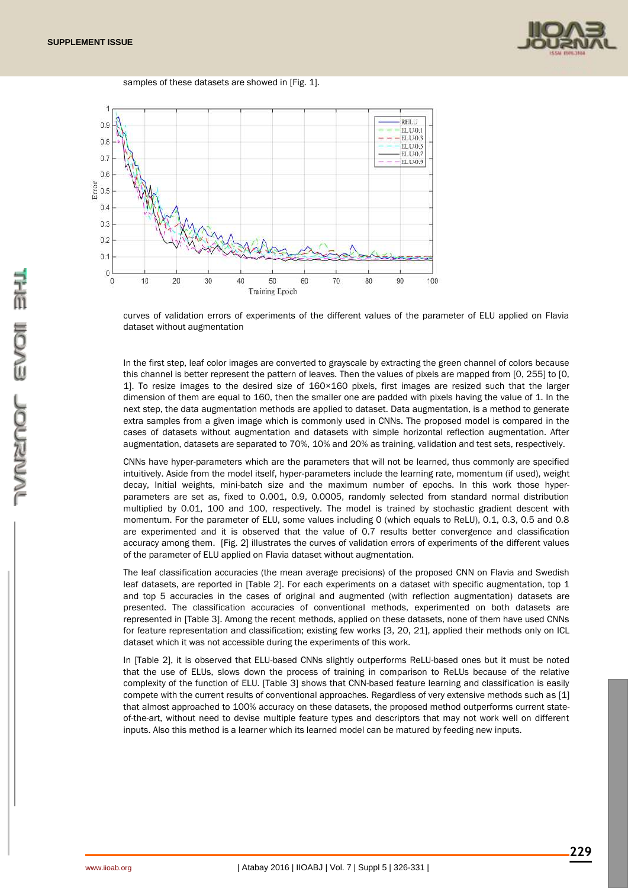

samples of these datasets are showed in [Fig. 1].



curves of validation errors of experiments of the different values of the parameter of ELU applied on Flavia dataset without augmentation

In the first step, leaf color images are converted to grayscale by extracting the green channel of colors because this channel is better represent the pattern of leaves. Then the values of pixels are mapped from [0, 255] to [0, 1]. To resize images to the desired size of 160×160 pixels, first images are resized such that the larger dimension of them are equal to 160, then the smaller one are padded with pixels having the value of 1. In the next step, the data augmentation methods are applied to dataset. Data augmentation, is a method to generate extra samples from a given image which is commonly used in CNNs. The proposed model is compared in the cases of datasets without augmentation and datasets with simple horizontal reflection augmentation. After augmentation, datasets are separated to 70%, 10% and 20% as training, validation and test sets, respectively.

CNNs have hyper-parameters which are the parameters that will not be learned, thus commonly are specified intuitively. Aside from the model itself, hyper-parameters include the learning rate, momentum (if used), weight decay, Initial weights, mini-batch size and the maximum number of epochs. In this work those hyperparameters are set as, fixed to 0.001, 0.9, 0.0005, randomly selected from standard normal distribution multiplied by 0.01, 100 and 100, respectively. The model is trained by stochastic gradient descent with momentum. For the parameter of ELU, some values including 0 (which equals to ReLU), 0.1, 0.3, 0.5 and 0.8 are experimented and it is observed that the value of 0.7 results better convergence and classification accuracy among them. [Fig. 2] illustrates the curves of validation errors of experiments of the different values of the parameter of ELU applied on Flavia dataset without augmentation.

The leaf classification accuracies (the mean average precisions) of the proposed CNN on Flavia and Swedish leaf datasets, are reported in [Table 2]. For each experiments on a dataset with specific augmentation, top 1 and top 5 accuracies in the cases of original and augmented (with reflection augmentation) datasets are presented. The classification accuracies of conventional methods, experimented on both datasets are represented in [Table 3]. Among the recent methods, applied on these datasets, none of them have used CNNs for feature representation and classification; existing few works [3, 20, 21], applied their methods only on ICL dataset which it was not accessible during the experiments of this work.

In [Table 2], it is observed that ELU-based CNNs slightly outperforms ReLU-based ones but it must be noted that the use of ELUs, slows down the process of training in comparison to ReLUs because of the relative complexity of the function of ELU. [Table 3] shows that CNN-based feature learning and classification is easily compete with the current results of conventional approaches. Regardless of very extensive methods such as [1] that almost approached to 100% accuracy on these datasets, the proposed method outperforms current stateof-the-art, without need to devise multiple feature types and descriptors that may not work well on different inputs. Also this method is a learner which its learned model can be matured by feeding new inputs.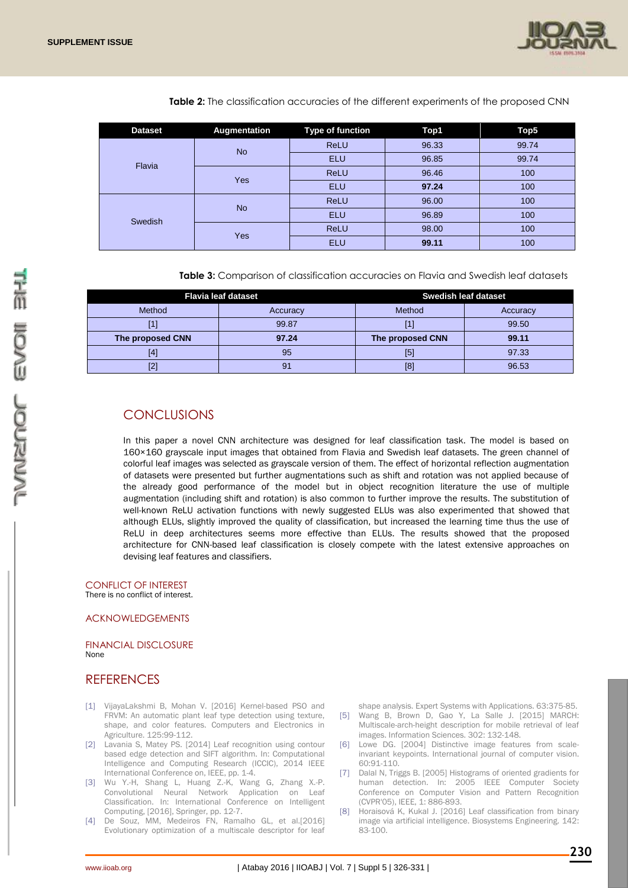

|  | <b>Dataset</b> | Augmentation | Type of function | Top1  | Top5  |
|--|----------------|--------------|------------------|-------|-------|
|  |                | <b>No</b>    | <b>ReLU</b>      | 96.33 | 99.74 |
|  | Flavia         |              | <b>ELU</b>       | 96.85 | 99.74 |
|  |                | Yes          | <b>ReLU</b>      | 96.46 | 100   |
|  |                |              | <b>ELU</b>       | 97.24 | 100   |
|  | Swedish        | <b>No</b>    | <b>ReLU</b>      | 96.00 | 100   |
|  |                |              | <b>ELU</b>       | 96.89 | 100   |
|  |                | Yes          | <b>ReLU</b>      | 98.00 | 100   |
|  |                |              | <b>ELU</b>       | 99.11 | 100   |

**Table 2:** The classification accuracies of the different experiments of the proposed CNN

**Table 3:** Comparison of classification accuracies on Flavia and Swedish leaf datasets

|                  | <b>Flavia leaf dataset</b> | <b>Swedish leaf dataset</b> |          |  |
|------------------|----------------------------|-----------------------------|----------|--|
| Method           | Accuracy                   | Method                      | Accuracy |  |
|                  | 99.87                      |                             | 99.50    |  |
| The proposed CNN | 97.24                      | The proposed CNN            | 99.11    |  |
| [4]              | 95                         | [5]                         | 97.33    |  |
|                  | 91                         | [8]                         | 96.53    |  |

# **CONCLUSIONS**

In this paper a novel CNN architecture was designed for leaf classification task. The model is based on 160×160 grayscale input images that obtained from Flavia and Swedish leaf datasets. The green channel of colorful leaf images was selected as grayscale version of them. The effect of horizontal reflection augmentation of datasets were presented but further augmentations such as shift and rotation was not applied because of the already good performance of the model but in object recognition literature the use of multiple augmentation (including shift and rotation) is also common to further improve the results. The substitution of well-known ReLU activation functions with newly suggested ELUs was also experimented that showed that although ELUs, slightly improved the quality of classification, but increased the learning time thus the use of ReLU in deep architectures seems more effective than ELUs. The results showed that the proposed architecture for CNN-based leaf classification is closely compete with the latest extensive approaches on devising leaf features and classifiers.

CONFLICT OF INTEREST There is no conflict of interest.

#### ACKNOWLEDGEMENTS

FINANCIAL DISCLOSURE None

# **REFERENCES**

- [1] VijayaLakshmi B, Mohan V. [2016] Kernel-based PSO and FRVM: An automatic plant leaf type detection using texture, shape, and color features. Computers and Electronics in Agriculture. 125:99-112.
- [2] Lavania S, Matey PS. [2014] Leaf recognition using contour based edge detection and SIFT algorithm. In: Computational Intelligence and Computing Research (ICCIC), 2014 IEEE International Conference on, IEEE, pp. 1-4.
- [3] Wu Y.-H, Shang L, Huang Z.-K, Wang G, Zhang X.-P. Convolutional Neural Network Application on Leaf Classification. In: International Conference on Intelligent Computing, [2016], Springer, pp. 12-7.
- [4] De Souz, MM, Medeiros FN, Ramalho GL, et al.[2016] Evolutionary optimization of a multiscale descriptor for leaf

shape analysis. Expert Systems with Applications. 63:375-85.

- [5] Wang B, Brown D, Gao Y, La Salle J. [2015] MARCH: Multiscale-arch-height description for mobile retrieval of leaf images. Information Sciences. 302: 132-148.
- [6] Lowe DG. [2004] Distinctive image features from scaleinvariant keypoints. International journal of computer vision. 60:91-110.
- [7] Dalal N, Triggs B. [2005] Histograms of oriented gradients for human detection. In: 2005 IEEE Computer Society Conference on Computer Vision and Pattern Recognition (CVPR'05), IEEE, 1: 886-893.
- [8] Horaisová K, Kukal J. [2016] Leaf classification from binary image via artificial intelligence. Biosystems Engineering. 142: 83-100.